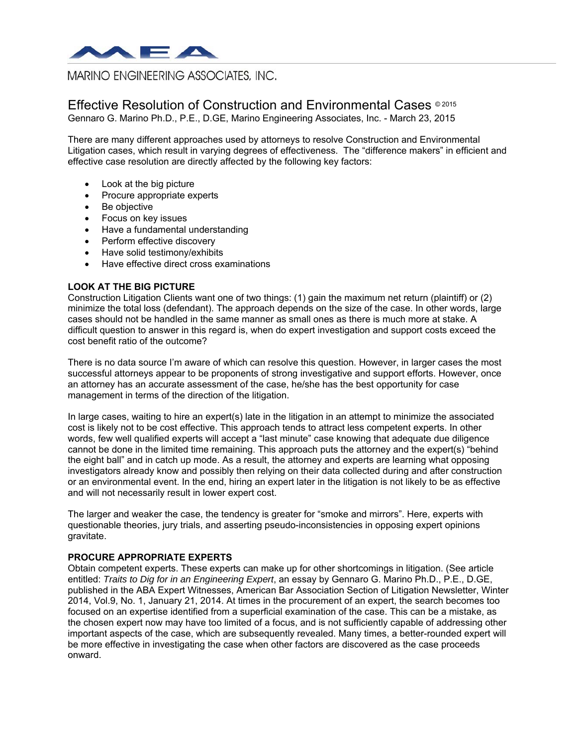

# **MARINO ENGINEERING ASSOCIATES, INC.**

## Effective Resolution of Construction and Environmental Cases © 2015 Gennaro G. Marino Ph.D., P.E., D.GE, Marino Engineering Associates, Inc. - March 23, 2015

There are many different approaches used by attorneys to resolve Construction and Environmental Litigation cases, which result in varying degrees of effectiveness. The "difference makers" in efficient and effective case resolution are directly affected by the following key factors:

- Look at the big picture
- Procure appropriate experts
- Be objective
- Focus on key issues
- Have a fundamental understanding
- Perform effective discovery
- Have solid testimony/exhibits
- Have effective direct cross examinations

## **LOOK AT THE BIG PICTURE**

Construction Litigation Clients want one of two things: (1) gain the maximum net return (plaintiff) or (2) minimize the total loss (defendant). The approach depends on the size of the case. In other words, large cases should not be handled in the same manner as small ones as there is much more at stake. A difficult question to answer in this regard is, when do expert investigation and support costs exceed the cost benefit ratio of the outcome?

There is no data source I'm aware of which can resolve this question. However, in larger cases the most successful attorneys appear to be proponents of strong investigative and support efforts. However, once an attorney has an accurate assessment of the case, he/she has the best opportunity for case management in terms of the direction of the litigation.

In large cases, waiting to hire an expert(s) late in the litigation in an attempt to minimize the associated cost is likely not to be cost effective. This approach tends to attract less competent experts. In other words, few well qualified experts will accept a "last minute" case knowing that adequate due diligence cannot be done in the limited time remaining. This approach puts the attorney and the expert(s) "behind the eight ball" and in catch up mode. As a result, the attorney and experts are learning what opposing investigators already know and possibly then relying on their data collected during and after construction or an environmental event. In the end, hiring an expert later in the litigation is not likely to be as effective and will not necessarily result in lower expert cost.

The larger and weaker the case, the tendency is greater for "smoke and mirrors". Here, experts with questionable theories, jury trials, and asserting pseudo-inconsistencies in opposing expert opinions gravitate.

#### **PROCURE APPROPRIATE EXPERTS**

Obtain competent experts. These experts can make up for other shortcomings in litigation. (See article entitled: *Traits to Dig for in an Engineering Expert*, an essay by Gennaro G. Marino Ph.D., P.E., D.GE, published in the ABA Expert Witnesses, American Bar Association Section of Litigation Newsletter, Winter 2014, Vol.9, No. 1, January 21, 2014. At times in the procurement of an expert, the search becomes too focused on an expertise identified from a superficial examination of the case. This can be a mistake, as the chosen expert now may have too limited of a focus, and is not sufficiently capable of addressing other important aspects of the case, which are subsequently revealed. Many times, a better-rounded expert will be more effective in investigating the case when other factors are discovered as the case proceeds onward.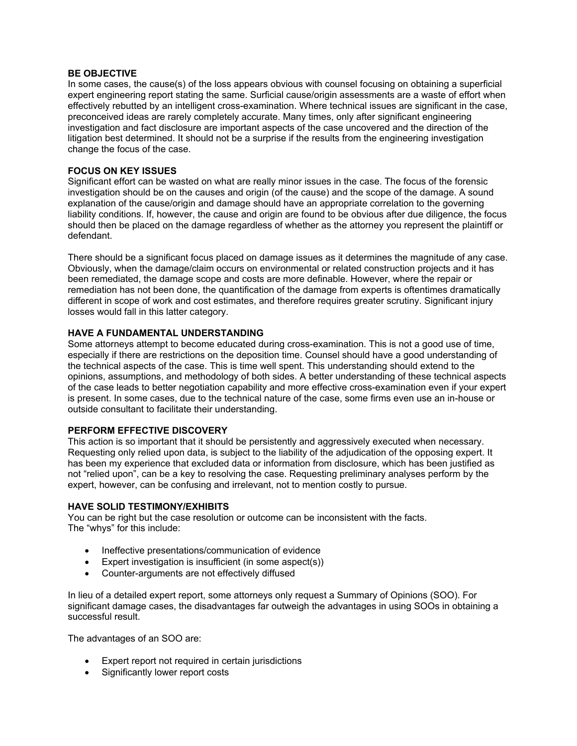### **BE OBJECTIVE**

In some cases, the cause(s) of the loss appears obvious with counsel focusing on obtaining a superficial expert engineering report stating the same. Surficial cause/origin assessments are a waste of effort when effectively rebutted by an intelligent cross-examination. Where technical issues are significant in the case, preconceived ideas are rarely completely accurate. Many times, only after significant engineering investigation and fact disclosure are important aspects of the case uncovered and the direction of the litigation best determined. It should not be a surprise if the results from the engineering investigation change the focus of the case.

#### **FOCUS ON KEY ISSUES**

Significant effort can be wasted on what are really minor issues in the case. The focus of the forensic investigation should be on the causes and origin (of the cause) and the scope of the damage. A sound explanation of the cause/origin and damage should have an appropriate correlation to the governing liability conditions. If, however, the cause and origin are found to be obvious after due diligence, the focus should then be placed on the damage regardless of whether as the attorney you represent the plaintiff or defendant.

There should be a significant focus placed on damage issues as it determines the magnitude of any case. Obviously, when the damage/claim occurs on environmental or related construction projects and it has been remediated, the damage scope and costs are more definable. However, where the repair or remediation has not been done, the quantification of the damage from experts is oftentimes dramatically different in scope of work and cost estimates, and therefore requires greater scrutiny. Significant injury losses would fall in this latter category.

## **HAVE A FUNDAMENTAL UNDERSTANDING**

Some attorneys attempt to become educated during cross-examination. This is not a good use of time, especially if there are restrictions on the deposition time. Counsel should have a good understanding of the technical aspects of the case. This is time well spent. This understanding should extend to the opinions, assumptions, and methodology of both sides. A better understanding of these technical aspects of the case leads to better negotiation capability and more effective cross-examination even if your expert is present. In some cases, due to the technical nature of the case, some firms even use an in-house or outside consultant to facilitate their understanding.

## **PERFORM EFFECTIVE DISCOVERY**

This action is so important that it should be persistently and aggressively executed when necessary. Requesting only relied upon data, is subject to the liability of the adjudication of the opposing expert. It has been my experience that excluded data or information from disclosure, which has been justified as not "relied upon", can be a key to resolving the case. Requesting preliminary analyses perform by the expert, however, can be confusing and irrelevant, not to mention costly to pursue.

#### **HAVE SOLID TESTIMONY/EXHIBITS**

You can be right but the case resolution or outcome can be inconsistent with the facts. The "whys" for this include:

- Ineffective presentations/communication of evidence
- Expert investigation is insufficient (in some aspect(s))
- Counter-arguments are not effectively diffused

In lieu of a detailed expert report, some attorneys only request a Summary of Opinions (SOO). For significant damage cases, the disadvantages far outweigh the advantages in using SOOs in obtaining a successful result.

The advantages of an SOO are:

- Expert report not required in certain jurisdictions
- Significantly lower report costs